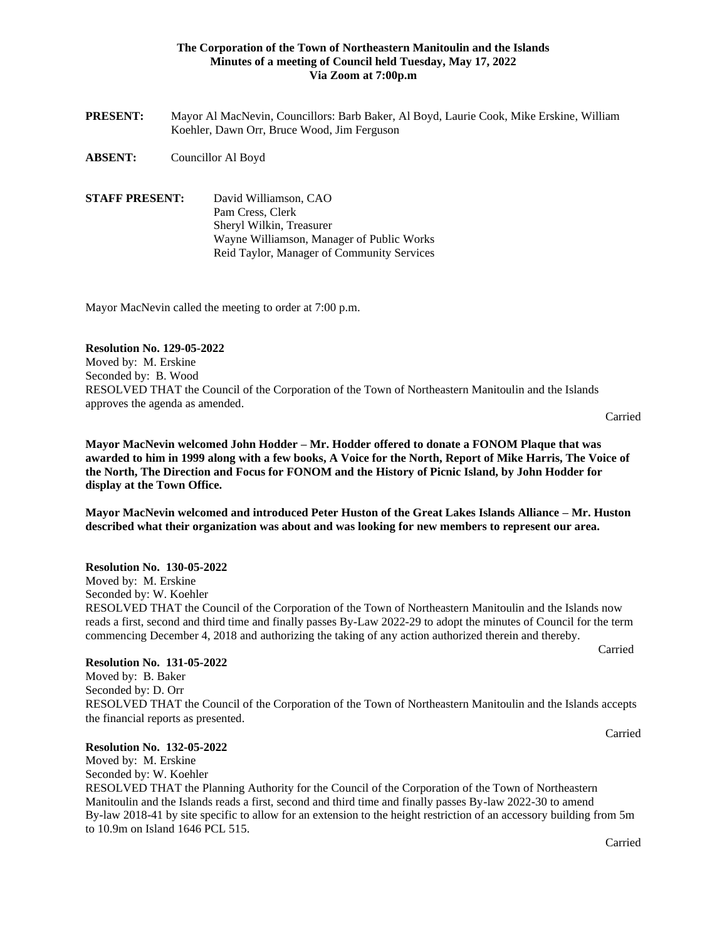### **The Corporation of the Town of Northeastern Manitoulin and the Islands Minutes of a meeting of Council held Tuesday, May 17, 2022 Via Zoom at 7:00p.m**

- **PRESENT:** Mayor Al MacNevin, Councillors: Barb Baker, Al Boyd, Laurie Cook, Mike Erskine, William Koehler, Dawn Orr, Bruce Wood, Jim Ferguson
- **ABSENT:** Councillor Al Boyd
- **STAFF PRESENT:** David Williamson, CAO Pam Cress, Clerk Sheryl Wilkin, Treasurer Wayne Williamson, Manager of Public Works Reid Taylor, Manager of Community Services

Mayor MacNevin called the meeting to order at 7:00 p.m.

#### **Resolution No. 129-05-2022**

Moved by: M. Erskine Seconded by: B. Wood RESOLVED THAT the Council of the Corporation of the Town of Northeastern Manitoulin and the Islands approves the agenda as amended.

Carried

**Mayor MacNevin welcomed John Hodder – Mr. Hodder offered to donate a FONOM Plaque that was awarded to him in 1999 along with a few books, A Voice for the North, Report of Mike Harris, The Voice of the North, The Direction and Focus for FONOM and the History of Picnic Island, by John Hodder for display at the Town Office.**

**Mayor MacNevin welcomed and introduced Peter Huston of the Great Lakes Islands Alliance – Mr. Huston described what their organization was about and was looking for new members to represent our area.**

#### **Resolution No. 130-05-2022**

Moved by: M. Erskine Seconded by: W. Koehler RESOLVED THAT the Council of the Corporation of the Town of Northeastern Manitoulin and the Islands now reads a first, second and third time and finally passes By-Law 2022-29 to adopt the minutes of Council for the term commencing December 4, 2018 and authorizing the taking of any action authorized therein and thereby. Carried

#### **Resolution No. 131-05-2022**

Moved by: B. Baker Seconded by: D. Orr RESOLVED THAT the Council of the Corporation of the Town of Northeastern Manitoulin and the Islands accepts the financial reports as presented.

### **Resolution No. 132-05-2022**

Moved by: M. Erskine Seconded by: W. Koehler

RESOLVED THAT the Planning Authority for the Council of the Corporation of the Town of Northeastern Manitoulin and the Islands reads a first, second and third time and finally passes By-law 2022-30 to amend By-law 2018-41 by site specific to allow for an extension to the height restriction of an accessory building from 5m to 10.9m on Island 1646 PCL 515.

Carried

Carried